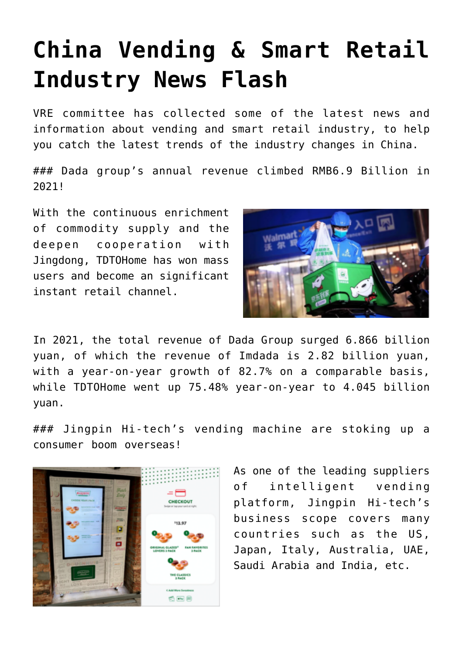## **[China Vending & Smart Retail](https://www.isa-guide.de/english-news/articles/268602.html) [Industry News Flash](https://www.isa-guide.de/english-news/articles/268602.html)**

VRE committee has collected some of the latest news and information about vending and smart retail industry, to help you catch the latest trends of the industry changes in China.

### Dada group's annual revenue climbed RMB6.9 Billion in 2021!

With the continuous enrichment of commodity supply and the deepen cooperation with Jingdong, TDTOHome has won mass users and become an significant instant retail channel.



In 2021, the total revenue of Dada Group surged 6.866 billion yuan, of which the revenue of Imdada is 2.82 billion yuan, with a year-on-year growth of 82.7% on a comparable basis, while TDTOHome went up 75.48% year-on-year to 4.045 billion yuan.

### Jingpin Hi-tech's vending machine are stoking up a consumer boom overseas!



As one of the leading suppliers of intelligent vending platform, Jingpin Hi-tech's business scope covers many countries such as the US, Japan, Italy, Australia, UAE, Saudi Arabia and India, etc.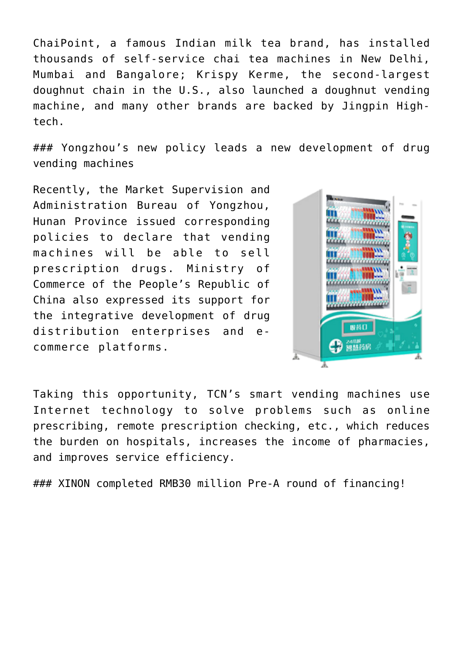ChaiPoint, a famous Indian milk tea brand, has installed thousands of self-service chai tea machines in New Delhi, Mumbai and Bangalore; Krispy Kerme, the second-largest doughnut chain in the U.S., also launched a doughnut vending machine, and many other brands are backed by Jingpin Hightech.

### Yongzhou's new policy leads a new development of drug vending machines

Recently, the Market Supervision and Administration Bureau of Yongzhou, Hunan Province issued corresponding policies to declare that vending machines will be able to sell prescription drugs. Ministry of Commerce of the People's Republic of China also expressed its support for the integrative development of drug distribution enterprises and ecommerce platforms.



Taking this opportunity, TCN's smart vending machines use Internet technology to solve problems such as online prescribing, remote prescription checking, etc., which reduces the burden on hospitals, increases the income of pharmacies, and improves service efficiency.

### XINON completed RMB30 million Pre-A round of financing!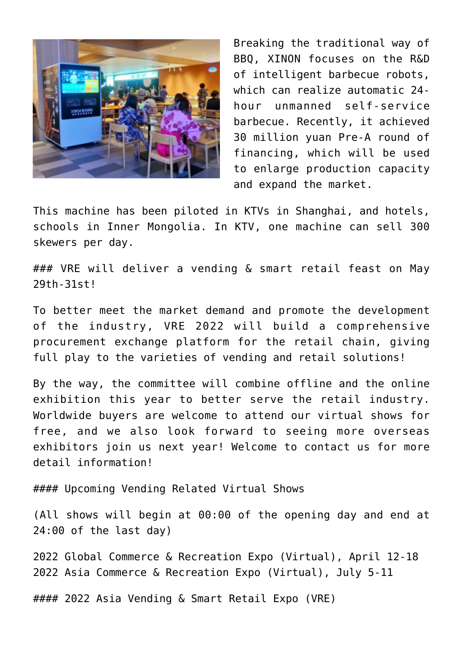

Breaking the traditional way of BBQ, XINON focuses on the R&D of intelligent barbecue robots, which can realize automatic 24hour unmanned self-service barbecue. Recently, it achieved 30 million yuan Pre-A round of financing, which will be used to enlarge production capacity and expand the market.

This machine has been piloted in KTVs in Shanghai, and hotels, schools in Inner Mongolia. In KTV, one machine can sell 300 skewers per day.

### VRE will deliver a vending & smart retail feast on May 29th-31st!

To better meet the market demand and promote the development of the industry, VRE 2022 will build a comprehensive procurement exchange platform for the retail chain, giving full play to the varieties of vending and retail solutions!

By the way, the committee will combine offline and the online exhibition this year to better serve the retail industry. Worldwide buyers are welcome to attend our virtual shows for free, and we also look forward to seeing more overseas exhibitors join us next year! Welcome to contact us for more detail information!

#### Upcoming Vending Related Virtual Shows

(All shows will begin at 00:00 of the opening day and end at 24:00 of the last day)

2022 Global Commerce & Recreation Expo (Virtual), April 12-18 2022 Asia Commerce & Recreation Expo (Virtual), July 5-11

#### 2022 Asia Vending & Smart Retail Expo (VRE)